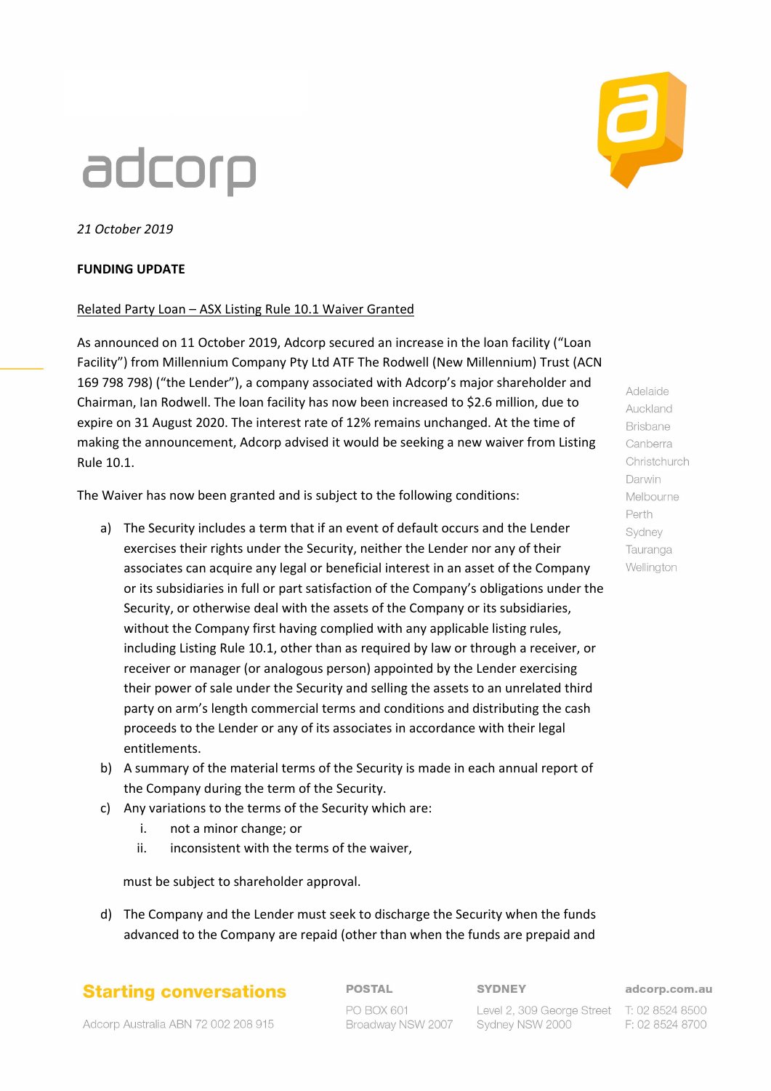# adcorp

*21 October 2019*

### **FUNDING UPDATE**

#### Related Party Loan – ASX Listing Rule 10.1 Waiver Granted

As announced on 11 October 2019, Adcorp secured an increase in the loan facility ("Loan Facility") from Millennium Company Pty Ltd ATF The Rodwell (New Millennium) Trust (ACN 169 798 798) ("the Lender"), a company associated with Adcorp's major shareholder and Chairman, Ian Rodwell. The loan facility has now been increased to \$2.6 million, due to expire on 31 August 2020. The interest rate of 12% remains unchanged. At the time of making the announcement, Adcorp advised it would be seeking a new waiver from Listing Rule 10.1.

The Waiver has now been granted and is subject to the following conditions:

- a) The Security includes a term that if an event of default occurs and the Lender exercises their rights under the Security, neither the Lender nor any of their associates can acquire any legal or beneficial interest in an asset of the Company or its subsidiaries in full or part satisfaction of the Company's obligations under the Security, or otherwise deal with the assets of the Company or its subsidiaries, without the Company first having complied with any applicable listing rules, including Listing Rule 10.1, other than as required by law or through a receiver, or receiver or manager (or analogous person) appointed by the Lender exercising their power of sale under the Security and selling the assets to an unrelated third party on arm's length commercial terms and conditions and distributing the cash proceeds to the Lender or any of its associates in accordance with their legal entitlements.
- b) A summary of the material terms of the Security is made in each annual report of the Company during the term of the Security.
- c) Any variations to the terms of the Security which are:
	- i. not a minor change; or
	- ii. inconsistent with the terms of the waiver,

must be subject to shareholder approval.

d) The Company and the Lender must seek to discharge the Security when the funds advanced to the Company are repaid (other than when the funds are prepaid and

## **Starting conversations**

**POSTAL** 

**SYDNEY** 

adcorp.com.au F: 02 8524 8700



Auckland **Brisbane** Canberra Christchurch Darwin Melbourne Perth Sydney Tauranga Wellington

Adelaide

Adcorp Australia ABN 72 002 208 915

PO BOX 601 Broadway NSW 2007

Level 2, 309 George Street T: 02 8524 8500 Sydney NSW 2000